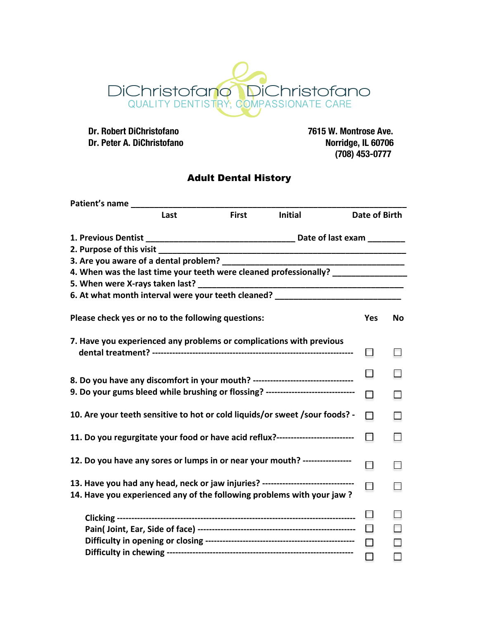

 **Dr. Robert DiChristofano 7615 W. Montrose Ave. Dr. Peter A. DiChristofano** 

 **(708) 453-0777**

## Adult Dental History

| Patient's name                                                                                                                                                       |      |              |                                                                                                                                                           |                      |        |
|----------------------------------------------------------------------------------------------------------------------------------------------------------------------|------|--------------|-----------------------------------------------------------------------------------------------------------------------------------------------------------|----------------------|--------|
|                                                                                                                                                                      | Last | <b>First</b> | <b>Initial</b>                                                                                                                                            | <b>Date of Birth</b> |        |
|                                                                                                                                                                      |      |              |                                                                                                                                                           |                      |        |
|                                                                                                                                                                      |      |              |                                                                                                                                                           |                      |        |
|                                                                                                                                                                      |      |              |                                                                                                                                                           |                      |        |
|                                                                                                                                                                      |      |              | 4. When was the last time your teeth were cleaned professionally? ______________                                                                          |                      |        |
|                                                                                                                                                                      |      |              |                                                                                                                                                           |                      |        |
|                                                                                                                                                                      |      |              | 6. At what month interval were your teeth cleaned? _____________________________                                                                          |                      |        |
| Please check yes or no to the following questions:                                                                                                                   |      |              |                                                                                                                                                           |                      | No     |
|                                                                                                                                                                      |      |              | 7. Have you experienced any problems or complications with previous                                                                                       | $\Box$               | $\Box$ |
|                                                                                                                                                                      |      |              |                                                                                                                                                           |                      |        |
| 8. Do you have any discomfort in your mouth? -----------------------------------<br>9. Do your gums bleed while brushing or flossing? ------------------------------ |      |              |                                                                                                                                                           |                      | □      |
| 10. Are your teeth sensitive to hot or cold liquids/or sweet / sour foods? -                                                                                         |      |              |                                                                                                                                                           |                      | $\Box$ |
| 11. Do you regurgitate your food or have acid reflux?--------------------------                                                                                      |      |              |                                                                                                                                                           |                      | $\Box$ |
|                                                                                                                                                                      |      |              | 12. Do you have any sores or lumps in or near your mouth? -----------------                                                                               |                      | $\Box$ |
|                                                                                                                                                                      |      |              | 13. Have you had any head, neck or jaw injuries? -------------------------------<br>14. Have you experienced any of the following problems with your jaw? | $\Box$               | $\Box$ |
|                                                                                                                                                                      |      |              |                                                                                                                                                           |                      | $\Box$ |
|                                                                                                                                                                      |      |              |                                                                                                                                                           |                      |        |
|                                                                                                                                                                      |      |              |                                                                                                                                                           |                      | $\Box$ |
|                                                                                                                                                                      |      |              |                                                                                                                                                           |                      | $\Box$ |
|                                                                                                                                                                      |      |              |                                                                                                                                                           |                      | $\Box$ |